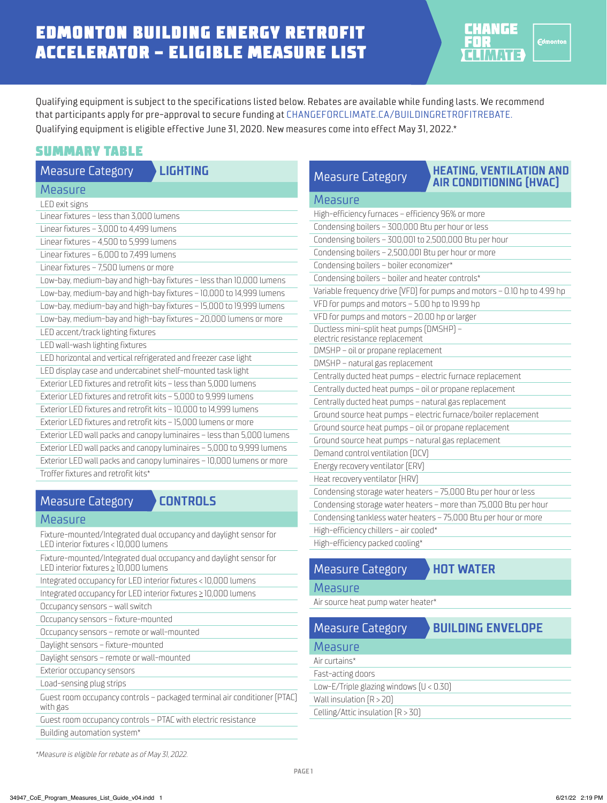# EDMONTON BUILDING ENERGY RETROFIT ACCELERATOR – ELIGIBLE MEASURE LIST



Qualifying equipment is subject to the specifications listed below. Rebates are available while funding lasts. We recommend that participants apply for pre-approval to secure funding at [CHANGEFORCLIMATE.CA/BUILDINGRETROFITREBATE](https://changeforclimate.ca/programs/building-energy-retrofit-accelerator). Qualifying equipment is eligible effective June 31, 2020. New measures come into effect May 31, 2022.\*

# SUMMARY TABLE

| <b>LIGHTING</b><br><b>Measure Category</b>                             |
|------------------------------------------------------------------------|
| Measure                                                                |
| LED exit signs                                                         |
| Linear fixtures – less than 3,000 lumens                               |
| Linear fixtures - 3,000 to 4,499 lumens                                |
| Linear fixtures - 4,500 to 5,999 lumens                                |
| Linear fixtures - 6,000 to 7,499 lumens                                |
| Linear fixtures – 7,500 lumens or more                                 |
| Low-bay, medium-bay and high-bay fixtures - less than 10,000 lumens    |
| Low-bay, medium-bay and high-bay fixtures - 10,000 to 14,999 lumens    |
| Low-bay, medium-bay and high-bay fixtures - 15,000 to 19,999 lumens    |
| Low-bay, medium-bay and high-bay fixtures - 20,000 lumens or more      |
| LED accent/track lighting fixtures                                     |
| LED wall-wash lighting fixtures                                        |
| LED horizontal and vertical refrigerated and freezer case light        |
| LED display case and undercabinet shelf-mounted task light             |
| Exterior LED fixtures and retrofit kits - less than 5,000 lumens       |
| Exterior LED fixtures and retrofit kits – 5,000 to 9,999 lumens        |
| Exterior LED fixtures and retrofit kits - 10,000 to 14,999 lumens      |
| Exterior LED fixtures and retrofit kits - 15,000 lumens or more        |
| Exterior LED wall packs and canopy luminaires - less than 5,000 lumens |
| Exterior LED wall packs and canopy luminaires - 5,000 to 9,999 lumens  |
| Exterior LED wall packs and canopy luminaires - 10,000 lumens or more  |
| Troffer fixtures and retrofit kits*                                    |

### Measure Category **CONTROLS**

### **Measure**

Fixture-mounted/Integrated dual occupancy and daylight sensor for LED interior fixtures < 10,000 lumens

| Fixture-mounted/Integrated dual occupancy and daylight sensor for |
|-------------------------------------------------------------------|
| LED interior fixtures $\geq 10,000$ lumens                        |

Integrated occupancy for LED interior fixtures < 10,000 lumens

Integrated occupancy for LED interior fixtures  $\geq$  10,000 lumens

Occupancy sensors – wall switch

Occupancy sensors – fixture-mounted

Occupancy sensors – remote or wall-mounted

Daylight sensors – fixture-mounted

Daylight sensors – remote or wall-mounted

Exterior occupancy sensors

Load-sensing plug strips

Guest room occupancy controls – packaged terminal air conditioner (PTAC) with gas

Guest room occupancy controls – PTAC with electric resistance Building automation system\*

| <b>HEATING, VENTILATION AND</b><br><b>Measure Category</b><br>AIR CONDITIONING (HVAC) |
|---------------------------------------------------------------------------------------|
| Measure                                                                               |
| High-efficiency furnaces - efficiency 96% or more                                     |
| Condensing boilers - 300,000 Btu per hour or less                                     |
| Condensing boilers - 300,001 to 2,500,000 Btu per hour                                |
| Condensing boilers - 2,500,001 Btu per hour or more                                   |
| Condensing boilers - boiler economizer*                                               |
| Condensing boilers - boiler and heater controls*                                      |
| Variable frequency drive (VFD) for pumps and motors - 0.10 hp to 4.99 hp              |
| VFD for pumps and motors - 5.00 hp to 19.99 hp                                        |
| VFD for pumps and motors – 20.00 hp or larger                                         |
| Ductless mini-split heat pumps (DMSHP) -                                              |
| electric resistance replacement<br>DMSHP - oil or propane replacement                 |
| DMSHP - natural gas replacement                                                       |
| Centrally ducted heat pumps - electric furnace replacement                            |
| Centrally ducted heat pumps - oil or propane replacement                              |
| Centrally ducted heat pumps - natural gas replacement                                 |
| Ground source heat pumps - electric furnace/boiler replacement                        |
| Ground source heat pumps - oil or propane replacement                                 |
| Ground source heat pumps - natural gas replacement                                    |
| Demand control ventilation (DCV)                                                      |
| Energy recovery ventilator (ERV)                                                      |
| Heat recovery ventilator (HRV)                                                        |
| Condensing storage water heaters - 75,000 Btu per hour or less                        |
| Condensing storage water heaters – more than 75,000 Btu per hour                      |
| Condensing tankless water heaters - 75,000 Btu per hour or more                       |
| High-efficiency chillers - air cooled*                                                |
| High-efficiency packed cooling*                                                       |

# Measure Category **HOT WATER** Measure Air source heat pump water heater\* Measure Category **BUILDING ENVELOPE** Measure Air curtains\*

Fast-acting doors Low-E/Triple glazing windows (U < 0.30) Wall insulation (R > 20) Celling/Attic insulation (R > 30)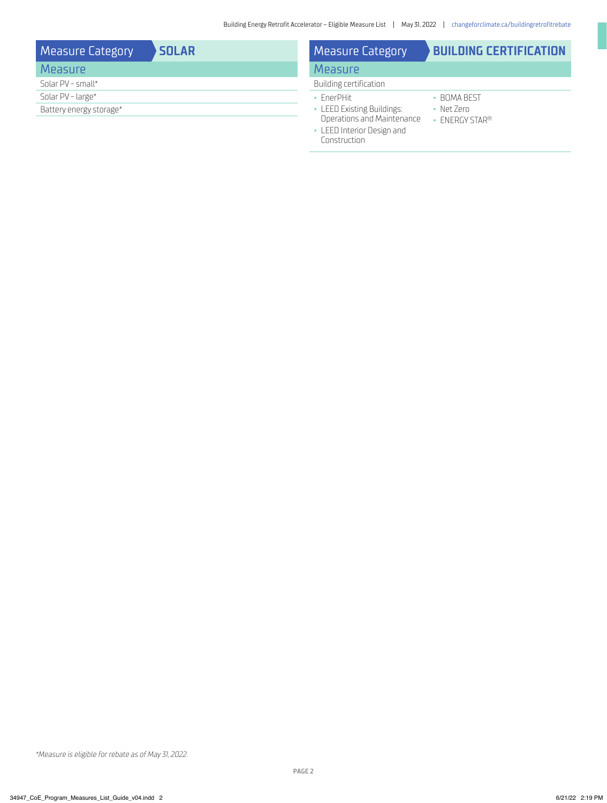| <b>Measure Category</b> | <b>SOLAR</b> | <b>Measure Category</b>                                                                                                                   | <b>BUILDING CERTIFICATION</b> |  |
|-------------------------|--------------|-------------------------------------------------------------------------------------------------------------------------------------------|-------------------------------|--|
| <b>Measure</b>          |              | <b>Measure</b>                                                                                                                            |                               |  |
| Solar PV – small*       |              | Building certification                                                                                                                    |                               |  |
| Solar PV - large*       |              | • FnerPHit                                                                                                                                | <b>BOMA BEST</b>              |  |
| Battery energy storage* |              | • LEED Existing Buildings:<br>Net Zero<br>Operations and Maintenance<br><b>FNFRGY STAR®</b><br>• LEED Interior Design and<br>Construction |                               |  |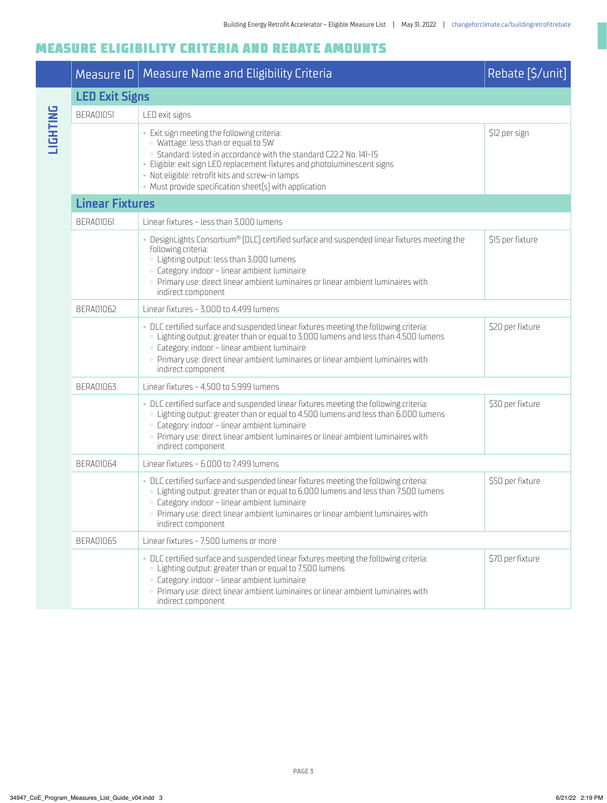## MEASURE ELIGIBILITY CRITERIA AND REBATE AMOUNTS

|                        | Measure ID   Measure Name and Eligibility Criteria                                                                                                                                                                                                                                                                                                   | Rebate [\$/unit] |  |
|------------------------|------------------------------------------------------------------------------------------------------------------------------------------------------------------------------------------------------------------------------------------------------------------------------------------------------------------------------------------------------|------------------|--|
|                        | <b>LED Exit Signs</b>                                                                                                                                                                                                                                                                                                                                |                  |  |
| <b>BERA01051</b>       | LED exit signs                                                                                                                                                                                                                                                                                                                                       |                  |  |
|                        | · Exit sign meeting the following criteria:<br>· Wattage: less than or equal to 5W<br>. Standard: listed in accordance with the standard C22.2 No. 141-15<br>· Eligible: exit sign LED replacement fixtures and photoluminescent signs<br>• Not eligible: retrofit kits and screw-in lamps<br>• Must provide specification sheet(s) with application | \$12 per sign    |  |
| <b>Linear Fixtures</b> |                                                                                                                                                                                                                                                                                                                                                      |                  |  |
| <b>BERA01061</b>       | Linear fixtures - less than 3.000 lumens                                                                                                                                                                                                                                                                                                             |                  |  |
|                        | - DesignLights Consortium® $[DL]$ certified surface and suspended linear fixtures meeting the<br>following criteria:<br>· Lighting output: less than 3,000 lumens<br>· Category: indoor - linear ambient luminaire<br>· Primary use: direct linear ambient luminaires or linear ambient luminaires with<br>indirect component                        | \$15 per fixture |  |
| <b>BERA01062</b>       | Linear fixtures - 3,000 to 4,499 lumens                                                                                                                                                                                                                                                                                                              |                  |  |
|                        | . DLC certified surface and suspended linear fixtures meeting the following criteria:<br>. Lighting output: greater than or equal to 3,000 lumens and less than 4,500 lumens<br>· Category: indoor - linear ambient luminaire<br>· Primary use: direct linear ambient luminaires or linear ambient luminaires with<br>indirect component             | \$20 per fixture |  |
| BERA01063              | Linear fixtures - 4,500 to 5,999 lumens                                                                                                                                                                                                                                                                                                              |                  |  |
|                        | . DLC certified surface and suspended linear fixtures meeting the following criteria:<br>· Lighting output: greater than or equal to 4,500 lumens and less than 6,000 lumens<br>· Category: indoor - linear ambient luminaire<br>· Primary use: direct linear ambient luminaires or linear ambient luminaires with<br>indirect component             | \$30 per fixture |  |
| <b>BERA01064</b>       | Linear fixtures - 6,000 to 7,499 lumens                                                                                                                                                                                                                                                                                                              |                  |  |
|                        | . DLC certified surface and suspended linear fixtures meeting the following criteria:<br>. Lighting output: greater than or equal to 6,000 lumens and less than 7,500 lumens<br>. Category: indoor - linear ambient luminaire<br>· Primary use: direct linear ambient luminaires or linear ambient luminaires with<br>indirect component             | \$50 per fixture |  |
| <b>BERA01065</b>       | Linear fixtures - 7,500 lumens or more                                                                                                                                                                                                                                                                                                               |                  |  |
|                        | . DLC certified surface and suspended linear fixtures meeting the following criteria:<br>· Lighting output: greater than or equal to 7,500 lumens<br>· Category: indoor - linear ambient luminaire<br>· Primary use: direct linear ambient luminaires or linear ambient luminaires with<br>indirect component                                        | \$70 per fixture |  |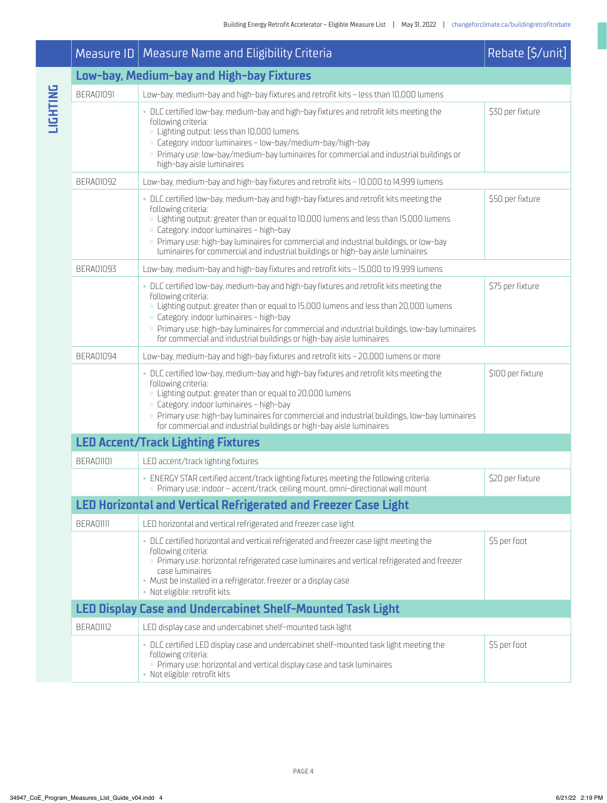|                 |                                                                        | Measure ID   Measure Name and Eligibility Criteria                                                                                                                                                                                                                                                                                                                                                                               | Rebate [\$/unit]  |  |
|-----------------|------------------------------------------------------------------------|----------------------------------------------------------------------------------------------------------------------------------------------------------------------------------------------------------------------------------------------------------------------------------------------------------------------------------------------------------------------------------------------------------------------------------|-------------------|--|
| <b>JIGHTING</b> |                                                                        | Low-bay, Medium-bay and High-bay Fixtures                                                                                                                                                                                                                                                                                                                                                                                        |                   |  |
|                 | <b>BERA01091</b>                                                       | Low-bay, medium-bay and high-bay fixtures and retrofit kits - less than 10,000 lumens                                                                                                                                                                                                                                                                                                                                            |                   |  |
|                 |                                                                        | · DLC certified low-bay, medium-bay and high-bay fixtures and retrofit kits meeting the<br>following criteria:<br>· Lighting output: less than 10,000 lumens<br>· Category: indoor luminaires - low-bay/medium-bay/high-bay<br>· Primary use: low-bay/medium-bay luminaires for commercial and industrial buildings or<br>high-bay aisle luminaires                                                                              | \$30 per fixture  |  |
|                 | <b>BERA01092</b>                                                       | Low-bay, medium-bay and high-bay fixtures and retrofit kits - 10,000 to 14,999 lumens                                                                                                                                                                                                                                                                                                                                            |                   |  |
|                 |                                                                        | · DLC certified low-bay, medium-bay and high-bay fixtures and retrofit kits meeting the<br>following criteria:<br>. Lighting output: greater than or equal to 10,000 lumens and less than 15,000 lumens<br>· Category: indoor luminaires - high-bay<br>. Primary use: high-bay luminaires for commercial and industrial buildings, or low-bay<br>luminaires for commercial and industrial buildings or high-bay aisle luminaires | \$50 per fixture  |  |
|                 | <b>BERA01093</b>                                                       | Low-bay, medium-bay and high-bay fixtures and retrofit kits - 15,000 to 19,999 lumens                                                                                                                                                                                                                                                                                                                                            |                   |  |
|                 |                                                                        | · DLC certified low-bay, medium-bay and high-bay fixtures and retrofit kits meeting the<br>following criteria:<br>. Lighting output: greater than or equal to 15,000 lumens and less than 20,000 lumens<br>· Category: indoor luminaires - high-bay<br>· Primary use: high-bay luminaires for commercial and industrial buildings, low-bay luminaires<br>for commercial and industrial buildings or high-bay aisle luminaires    | \$75 per fixture  |  |
|                 | <b>BERA01094</b>                                                       | Low-bay, medium-bay and high-bay fixtures and retrofit kits - 20,000 lumens or more                                                                                                                                                                                                                                                                                                                                              |                   |  |
|                 |                                                                        | · DLC certified low-bay, medium-bay and high-bay fixtures and retrofit kits meeting the<br>following criteria:<br>. Lighting output: greater than or equal to 20,000 lumens<br>· Category: indoor luminaires - high-bay<br>. Primary use: high-bay luminaires for commercial and industrial buildings, low-bay luminaires<br>for commercial and industrial buildings or high-bay aisle luminaires                                | \$100 per fixture |  |
|                 |                                                                        | <b>LED Accent/Track Lighting Fixtures</b>                                                                                                                                                                                                                                                                                                                                                                                        |                   |  |
|                 | <b>BERA01101</b>                                                       | LED accent/track lighting fixtures                                                                                                                                                                                                                                                                                                                                                                                               |                   |  |
|                 |                                                                        | · ENERGY STAR certified accent/track lighting fixtures meeting the following criteria:<br>· Primary use: indoor – accent/track, ceiling mount, omni-directional wall mount                                                                                                                                                                                                                                                       | \$20 per fixture  |  |
|                 | <b>LED Horizontal and Vertical Refrigerated and Freezer Case Light</b> |                                                                                                                                                                                                                                                                                                                                                                                                                                  |                   |  |
|                 | BFRA01111                                                              | LED horizontal and vertical refrigerated and freezer case light                                                                                                                                                                                                                                                                                                                                                                  |                   |  |
|                 |                                                                        | · DLC certified horizontal and vertical refrigerated and freezer case light meeting the<br>following criteria:<br>. Primary use: horizontal refrigerated case luminaires and vertical refrigerated and freezer<br>case luminaires<br>• Must be installed in a refrigerator, freezer or a display case<br>· Not eligible: retrofit kits                                                                                           | \$5 per foot      |  |
|                 |                                                                        | <b>LED Display Case and Undercabinet Shelf-Mounted Task Light</b>                                                                                                                                                                                                                                                                                                                                                                |                   |  |
|                 | BERAO1112                                                              | LED display case and undercabinet shelf-mounted task light                                                                                                                                                                                                                                                                                                                                                                       |                   |  |
|                 |                                                                        | · DLC certified LED display case and undercabinet shelf-mounted task light meeting the<br>following criteria:<br>· Primary use: horizontal and vertical display case and task luminaires<br>· Not eligible: retrofit kits                                                                                                                                                                                                        | \$5 per foot      |  |

**PAGE 4**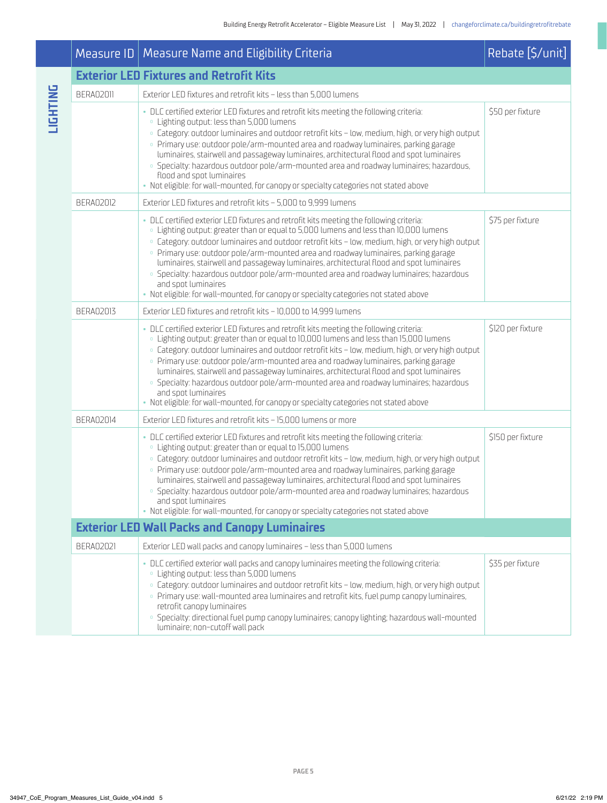|          |                  | Measure ID   Measure Name and Eligibility Criteria                                                                                                                                                                                                                                                                                                                                                                                                                                                                                                                                                                                                                                 | Rebate [\$/unit]  |
|----------|------------------|------------------------------------------------------------------------------------------------------------------------------------------------------------------------------------------------------------------------------------------------------------------------------------------------------------------------------------------------------------------------------------------------------------------------------------------------------------------------------------------------------------------------------------------------------------------------------------------------------------------------------------------------------------------------------------|-------------------|
|          |                  | <b>Exterior LED Fixtures and Retrofit Kits</b>                                                                                                                                                                                                                                                                                                                                                                                                                                                                                                                                                                                                                                     |                   |
|          | BFRA02011        | Exterior LED fixtures and retrofit kits - less than 5,000 lumens                                                                                                                                                                                                                                                                                                                                                                                                                                                                                                                                                                                                                   |                   |
| LIGHTING |                  | . DLC certified exterior LED fixtures and retrofit kits meeting the following criteria:<br>. Lighting output: less than 5,000 lumens<br>. Category: outdoor luminaires and outdoor retrofit kits - low, medium, high, or very high output<br>· Primary use: outdoor pole/arm-mounted area and roadway luminaires, parking garage<br>luminaires, stairwell and passageway luminaires, architectural flood and spot luminaires<br>· Specialty: hazardous outdoor pole/arm-mounted area and roadway luminaires; hazardous,<br>flood and spot luminaires<br>• Not eligible: for wall-mounted, for canopy or specialty categories not stated above                                      | \$50 per fixture  |
|          | <b>BERA02012</b> | Exterior LED fixtures and retrofit kits - 5,000 to 9,999 lumens                                                                                                                                                                                                                                                                                                                                                                                                                                                                                                                                                                                                                    |                   |
|          |                  | . DLC certified exterior LED fixtures and retrofit kits meeting the following criteria:<br>· Lighting output: greater than or equal to 5,000 lumens and less than 10,000 lumens<br>. Category: outdoor luminaires and outdoor retrofit kits - low, medium, high, or very high output<br>· Primary use: outdoor pole/arm-mounted area and roadway luminaires, parking garage<br>luminaires, stairwell and passageway luminaires, architectural flood and spot luminaires<br>· Specialty: hazardous outdoor pole/arm-mounted area and roadway luminaires; hazardous<br>and spot luminaires<br>• Not eligible: for wall-mounted, for canopy or specialty categories not stated above  | \$75 per fixture  |
|          | BFRA02013        | Exterior LED fixtures and retrofit kits - 10,000 to 14,999 lumens                                                                                                                                                                                                                                                                                                                                                                                                                                                                                                                                                                                                                  |                   |
|          |                  | . DLC certified exterior LED fixtures and retrofit kits meeting the following criteria:<br>. Lighting output: greater than or equal to 10,000 lumens and less than 15,000 lumens<br>· Category: outdoor luminaires and outdoor retrofit kits - low, medium, high, or very high output<br>· Primary use: outdoor pole/arm-mounted area and roadway luminaires, parking garage<br>luminaires, stairwell and passageway luminaires, architectural flood and spot luminaires<br>· Specialty: hazardous outdoor pole/arm-mounted area and roadway luminaires; hazardous<br>and spot luminaires<br>• Not eligible: for wall-mounted, for canopy or specialty categories not stated above | \$120 per fixture |
|          | <b>BERA02014</b> | Exterior LED fixtures and retrofit kits - 15,000 lumens or more                                                                                                                                                                                                                                                                                                                                                                                                                                                                                                                                                                                                                    |                   |
|          |                  | . DLC certified exterior LED fixtures and retrofit kits meeting the following criteria:<br>. Lighting output: greater than or equal to 15,000 lumens<br>· Category: outdoor luminaires and outdoor retrofit kits - low, medium, high, or very high output<br>· Primary use: outdoor pole/arm-mounted area and roadway luminaires, parking garage<br>luminaires, stairwell and passageway luminaires, architectural flood and spot luminaires<br>· Specialty: hazardous outdoor pole/arm-mounted area and roadway luminaires; hazardous<br>and spot luminaires<br>• Not eligible: for wall-mounted, for canopy or specialty categories not stated above                             | \$150 per fixture |
|          |                  | <b>Exterior LED Wall Packs and Canopy Luminaires</b>                                                                                                                                                                                                                                                                                                                                                                                                                                                                                                                                                                                                                               |                   |
|          | <b>BERA02021</b> | Exterior LED wall packs and canopy luminaires - less than 5,000 lumens                                                                                                                                                                                                                                                                                                                                                                                                                                                                                                                                                                                                             |                   |
|          |                  | · DLC certified exterior wall packs and canopy luminaires meeting the following criteria:<br>. Lighting output: less than 5,000 lumens<br>· Category: outdoor luminaires and outdoor retrofit kits - low, medium, high, or very high output<br>· Primary use: wall-mounted area luminaires and retrofit kits, fuel pump canopy luminaires,<br>retrofit canopy luminaires<br>· Specialty: directional fuel pump canopy luminaires; canopy lighting; hazardous wall-mounted<br>luminaire; non-cutoff wall pack                                                                                                                                                                       | \$35 per fixture  |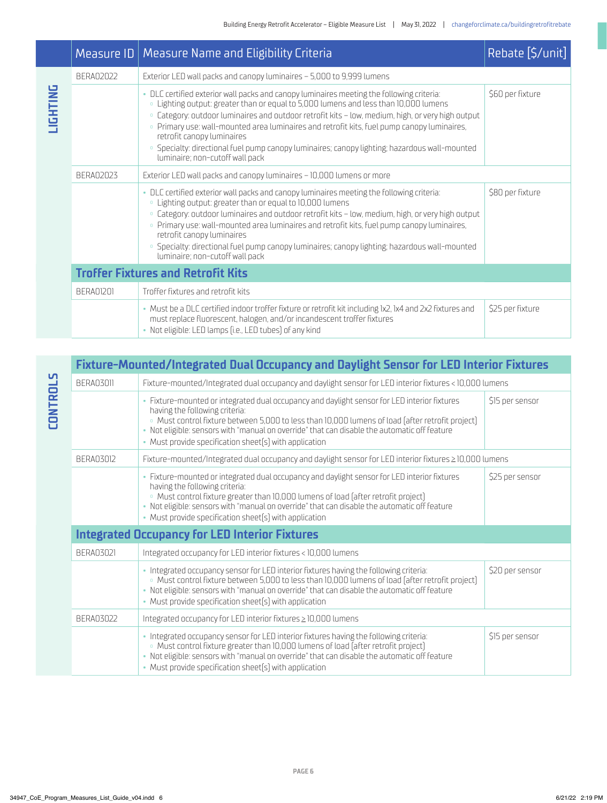|         |           | Measure ID   Measure Name and Eligibility Criteria                                                                                                                                                                                                                                                                                                                                                                                                                                                                                                      | Rebate [\$/unit] |
|---------|-----------|---------------------------------------------------------------------------------------------------------------------------------------------------------------------------------------------------------------------------------------------------------------------------------------------------------------------------------------------------------------------------------------------------------------------------------------------------------------------------------------------------------------------------------------------------------|------------------|
|         | BERA02022 | Exterior LED wall packs and canopy luminaires – 5,000 to 9,999 lumens                                                                                                                                                                                                                                                                                                                                                                                                                                                                                   |                  |
| UNITHOL |           | . DLC certified exterior wall packs and canopy luminaires meeting the following criteria:<br>. Lighting output: greater than or equal to 5,000 lumens and less than 10,000 lumens<br>· Category: outdoor luminaires and outdoor retrofit kits - low, medium, high, or very high output<br>· Primary use: wall-mounted area luminaires and retrofit kits, fuel pump canopy luminaires,<br>retrofit canopy luminaires<br>· Specialty: directional fuel pump canopy luminaires; canopy lighting; hazardous wall-mounted<br>luminaire; non-cutoff wall pack | \$60 per fixture |
|         | BFRA02023 | Exterior LED wall packs and canopy luminaires - 10,000 lumens or more                                                                                                                                                                                                                                                                                                                                                                                                                                                                                   |                  |
|         |           | - DLC certified exterior wall packs and canopy luminaires meeting the following criteria:<br>· Lighting output: greater than or equal to 10,000 lumens<br>· Category: outdoor luminaires and outdoor retrofit kits - low, medium, high, or very high output<br>· Primary use: wall-mounted area luminaires and retrofit kits, fuel pump canopy luminaires,<br>retrofit canopy luminaires<br>· Specialty: directional fuel pump canopy luminaires; canopy lighting; hazardous wall-mounted<br>luminaire; non-cutoff wall pack                            | \$80 per fixture |
|         |           | <b>Troffer Fixtures and Retrofit Kits</b>                                                                                                                                                                                                                                                                                                                                                                                                                                                                                                               |                  |
|         | BFRA01201 | Troffer fixtures and retrofit kits                                                                                                                                                                                                                                                                                                                                                                                                                                                                                                                      |                  |
|         |           | - Must be a DLC certified indoor troffer fixture or retrofit kit including 1x2, 1x4 and 2x2 fixtures and<br>must replace fluorescent, halogen, and/or incandescent troffer fixtures<br>• Not eligible: LED lamps (i.e., LED tubes) of any kind                                                                                                                                                                                                                                                                                                          | \$25 per fixture |

| Fixture-Mounted/Integrated Dual Occupancy and Daylight Sensor for LED Interior Fixtures |                                                                                                                                                                                                                                                                                                                                                                                              |                 |  |
|-----------------------------------------------------------------------------------------|----------------------------------------------------------------------------------------------------------------------------------------------------------------------------------------------------------------------------------------------------------------------------------------------------------------------------------------------------------------------------------------------|-----------------|--|
| BFRA03011                                                                               | Fixture-mounted/Integrated dual occupancy and daylight sensor for LED interior fixtures < 10,000 lumens                                                                                                                                                                                                                                                                                      |                 |  |
|                                                                                         | · Fixture-mounted or integrated dual occupancy and daylight sensor for LED interior fixtures<br>having the following criteria:<br>o Must control fixture between 5,000 to less than 10,000 lumens of load (after retrofit project)<br>. Not eligible: sensors with "manual on override" that can disable the automatic off feature<br>• Must provide specification sheet(s) with application | \$15 per sensor |  |
| BFRA03012                                                                               | Fixture-mounted/Integrated dual occupancy and daylight sensor for LED interior fixtures ≥10,000 lumens                                                                                                                                                                                                                                                                                       |                 |  |
|                                                                                         | · Fixture-mounted or integrated dual occupancy and daylight sensor for LED interior fixtures<br>having the following criteria:<br>· Must control fixture greater than 10,000 lumens of load (after retrofit project)<br>. Not eligible: sensors with "manual on override" that can disable the automatic off feature<br>• Must provide specification sheet(s) with application               | \$25 per sensor |  |
|                                                                                         | <b>Integrated Occupancy for LED Interior Fixtures</b>                                                                                                                                                                                                                                                                                                                                        |                 |  |
| <b>BFRA03021</b>                                                                        | Integrated occupancy for LED interior fixtures < 10,000 lumens                                                                                                                                                                                                                                                                                                                               |                 |  |
|                                                                                         | · Integrated occupancy sensor for LED interior fixtures having the following criteria:<br>o Must control fixture between 5,000 to less than 10,000 lumens of load (after retrofit project)<br>. Not eligible: sensors with "manual on override" that can disable the automatic off feature<br>• Must provide specification sheet(s) with application                                         | \$20 per sensor |  |
| <b>BFRA03022</b>                                                                        | Integrated occupancy for LED interior fixtures ≥10,000 lumens                                                                                                                                                                                                                                                                                                                                |                 |  |
|                                                                                         | · Integrated occupancy sensor for LED interior fixtures having the following criteria:<br>· Must control fixture greater than 10,000 lumens of load (after retrofit project)<br>. Not eligible: sensors with "manual on override" that can disable the automatic off feature<br>• Must provide specification sheet(s) with application                                                       | \$15 per sensor |  |

**CONTROLS**

**CONTROLS**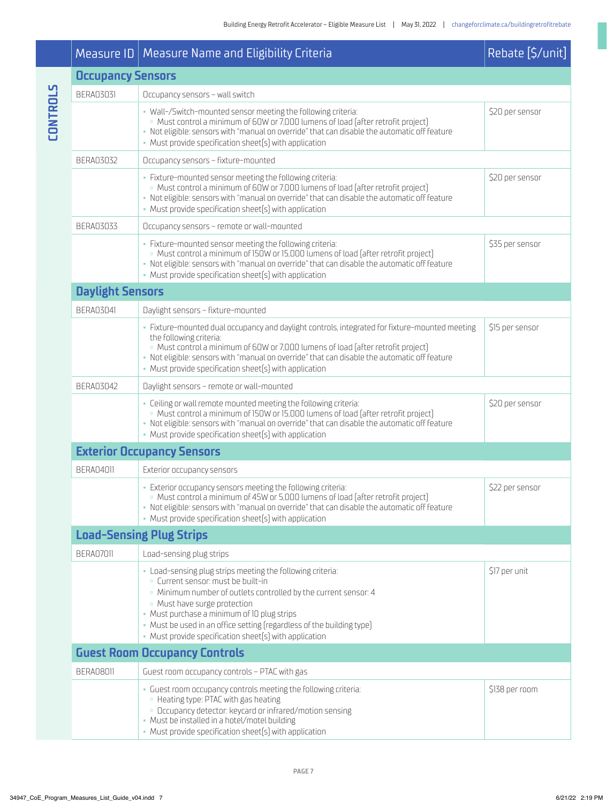|                          | Measure ID   Measure Name and Eligibility Criteria                                                                                                                                                                                                                                                                                                                                    | Rebate [\$/unit] |
|--------------------------|---------------------------------------------------------------------------------------------------------------------------------------------------------------------------------------------------------------------------------------------------------------------------------------------------------------------------------------------------------------------------------------|------------------|
| <b>Occupancy Sensors</b> |                                                                                                                                                                                                                                                                                                                                                                                       |                  |
| <b>BERA03031</b>         | Occupancy sensors - wall switch                                                                                                                                                                                                                                                                                                                                                       |                  |
|                          | · Wall-/Switch-mounted sensor meeting the following criteria:<br>· Must control a minimum of 60W or 7,000 lumens of load (after retrofit project)<br>. Not eligible: sensors with "manual on override" that can disable the automatic off feature<br>• Must provide specification sheet(s) with application                                                                           | \$20 per sensor  |
| <b>BERA03032</b>         | Occupancy sensors - fixture-mounted                                                                                                                                                                                                                                                                                                                                                   |                  |
|                          | · Fixture-mounted sensor meeting the following criteria:<br>· Must control a minimum of 60W or 7,000 lumens of load (after retrofit project)<br>. Not eligible: sensors with "manual on override" that can disable the automatic off feature<br>• Must provide specification sheet(s) with application                                                                                | \$20 per sensor  |
| <b>BERA03033</b>         | Occupancy sensors - remote or wall-mounted                                                                                                                                                                                                                                                                                                                                            |                  |
|                          | · Fixture-mounted sensor meeting the following criteria:<br>· Must control a minimum of 150W or 15,000 lumens of load (after retrofit project)<br>. Not eligible: sensors with "manual on override" that can disable the automatic off feature<br>• Must provide specification sheet(s) with application                                                                              | \$35 per sensor  |
| <b>Daylight Sensors</b>  |                                                                                                                                                                                                                                                                                                                                                                                       |                  |
| <b>BERA03041</b>         | Daylight sensors - fixture-mounted                                                                                                                                                                                                                                                                                                                                                    |                  |
|                          | - Fixture-mounted dual occupancy and daylight controls, integrated for fixture-mounted meeting<br>the following criteria:<br>· Must control a minimum of 60W or 7,000 lumens of load (after retrofit project)<br>. Not eligible: sensors with "manual on override" that can disable the automatic off feature<br>• Must provide specification sheet(s) with application               | \$15 per sensor  |
| BERA03042                | Daylight sensors - remote or wall-mounted                                                                                                                                                                                                                                                                                                                                             |                  |
|                          | · Ceiling or wall remote mounted meeting the following criteria:<br>. Must control a minimum of 150W or 15,000 lumens of load (after retrofit project)<br>. Not eligible: sensors with "manual on override" that can disable the automatic off feature<br>• Must provide specification sheet(s) with application                                                                      | \$20 per sensor  |
|                          | <b>Exterior Occupancy Sensors</b>                                                                                                                                                                                                                                                                                                                                                     |                  |
| BFRA04011                | Exterior occupancy sensors                                                                                                                                                                                                                                                                                                                                                            |                  |
|                          | Exterior occupancy sensors meeting the following criteria:<br>· Must control a minimum of 45W or 5,000 lumens of load (after retrofit project)<br>• Not eligible: sensors with "manual on override" that can disable the automatic off feature<br>• Must provide specification sheet(s) with application                                                                              | \$22 per sensor  |
|                          | <b>Load-Sensing Plug Strips</b>                                                                                                                                                                                                                                                                                                                                                       |                  |
| <b>BERA07011</b>         | Load-sensing plug strips                                                                                                                                                                                                                                                                                                                                                              |                  |
|                          | • Load-sensing plug strips meeting the following criteria:<br>. Current sensor: must be built-in<br>. Minimum number of outlets controlled by the current sensor: 4<br>· Must have surge protection<br>• Must purchase a minimum of 10 plug strips<br>• Must be used in an office setting (regardless of the building type)<br>• Must provide specification sheet(s) with application | \$17 per unit    |
|                          | <b>Guest Room Occupancy Controls</b>                                                                                                                                                                                                                                                                                                                                                  |                  |
| <b>BERA08011</b>         | Guest room occupancy controls - PTAC with gas                                                                                                                                                                                                                                                                                                                                         |                  |
|                          | · Guest room occupancy controls meeting the following criteria:<br>• Heating type: PTAC with gas heating<br>· Occupancy detector: keycard or infrared/motion sensing<br>• Must be installed in a hotel/motel building<br>• Must provide specification sheet(s) with application                                                                                                       | \$138 per room   |

**CONTROLS**

**CONTROLS**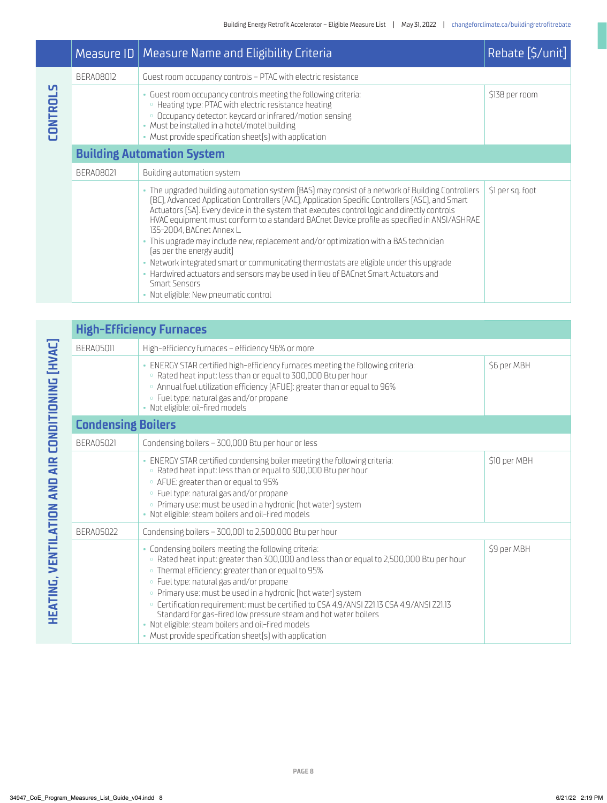|                 |                  | Measure ID   Measure Name and Eligibility Criteria                                                                                                                                                                                                                                                                                                                                                                                                                                                                                                                                                                                                                                                                                                                                                | Rebate [\$/unit] |
|-----------------|------------------|---------------------------------------------------------------------------------------------------------------------------------------------------------------------------------------------------------------------------------------------------------------------------------------------------------------------------------------------------------------------------------------------------------------------------------------------------------------------------------------------------------------------------------------------------------------------------------------------------------------------------------------------------------------------------------------------------------------------------------------------------------------------------------------------------|------------------|
| <b>CONTROLS</b> | <b>BERA08012</b> | Guest room occupancy controls – PTAC with electric resistance                                                                                                                                                                                                                                                                                                                                                                                                                                                                                                                                                                                                                                                                                                                                     |                  |
|                 |                  | • Guest room occupancy controls meeting the following criteria:<br>• Heating type: PTAC with electric resistance heating<br><sup>o</sup> Occupancy detector: keycard or infrared/motion sensing<br>• Must be installed in a hotel/motel building<br>• Must provide specification sheet(s) with application                                                                                                                                                                                                                                                                                                                                                                                                                                                                                        | \$138 per room   |
|                 |                  | <b>Building Automation System</b>                                                                                                                                                                                                                                                                                                                                                                                                                                                                                                                                                                                                                                                                                                                                                                 |                  |
|                 | BERA08021        | Building automation system                                                                                                                                                                                                                                                                                                                                                                                                                                                                                                                                                                                                                                                                                                                                                                        |                  |
|                 |                  | - The upgraded building automation system (BAS) may consist of a network of Building Controllers<br>(BC), Advanced Application Controllers (AAC), Application Specific Controllers (ASC), and Smart<br>Actuators (SA). Every device in the system that executes control logic and directly controls<br>HVAC equipment must conform to a standard BACnet Device profile as specified in ANSI/ASHRAE<br>135-2004, BACnet Annex L.<br>- This upgrade may include new, replacement and/or optimization with a BAS technician<br>(as per the energy audit)<br>- Network integrated smart or communicating thermostats are eligible under this upgrade<br>• Hardwired actuators and sensors may be used in lieu of BACnet Smart Actuators and<br>Smart Sensors<br>• Not eligible: New pneumatic control | \$1 per sq. foot |

|                                 | <b>High-Efficiency Furnaces</b> |                                                                                                                                                                                                                                                                                                                                                                                                                                                                                                                                                                                                               |              |
|---------------------------------|---------------------------------|---------------------------------------------------------------------------------------------------------------------------------------------------------------------------------------------------------------------------------------------------------------------------------------------------------------------------------------------------------------------------------------------------------------------------------------------------------------------------------------------------------------------------------------------------------------------------------------------------------------|--------------|
| [HVAC]<br>CONDITIONING          | BFRA05011                       | High-efficiency furnaces - efficiency 96% or more                                                                                                                                                                                                                                                                                                                                                                                                                                                                                                                                                             |              |
|                                 |                                 | · ENERGY STAR certified high-efficiency furnaces meeting the following criteria:<br>. Rated heat input: less than or equal to 300,000 Btu per hour<br><sup>o</sup> Annual fuel utilization efficiency (AFUE): greater than or equal to 96%<br>· Fuel type: natural gas and/or propane<br>· Not eligible: oil-fired models                                                                                                                                                                                                                                                                                     | \$6 per MBH  |
|                                 | <b>Condensing Boilers</b>       |                                                                                                                                                                                                                                                                                                                                                                                                                                                                                                                                                                                                               |              |
|                                 | <b>BERA05021</b>                | Condensing boilers - 300,000 Btu per hour or less                                                                                                                                                                                                                                                                                                                                                                                                                                                                                                                                                             |              |
| <b>AIR</b>                      |                                 | • ENERGY STAR certified condensing boiler meeting the following criteria:<br>. Rated heat input: less than or equal to 300,000 Btu per hour<br><sup>o</sup> AFUE: greater than or equal to 95%<br>· Fuel type: natural gas and/or propane<br>· Primary use: must be used in a hydronic (hot water) system<br>• Not eligible: steam boilers and oil-fired models                                                                                                                                                                                                                                               | \$10 per MBH |
|                                 | <b>BERA05022</b>                | Condensing boilers - 300,001 to 2,500,000 Btu per hour                                                                                                                                                                                                                                                                                                                                                                                                                                                                                                                                                        |              |
| <b>HEATING, VENTILATION AND</b> |                                 | · Condensing boilers meeting the following criteria:<br>. Rated heat input: greater than 300,000 and less than or equal to 2,500,000 Btu per hour<br><sup>o</sup> Thermal efficiency: greater than or equal to 95%<br>· Fuel type: natural gas and/or propane<br>· Primary use: must be used in a hydronic (hot water) system<br>· Certification requirement: must be certified to CSA 4.9/ANSI Z21.13 CSA 4.9/ANSI Z21.13<br>Standard for gas-fired low pressure steam and hot water boilers<br>• Not eligible: steam boilers and oil-fired models<br>• Must provide specification sheet(s) with application | \$9 per MBH  |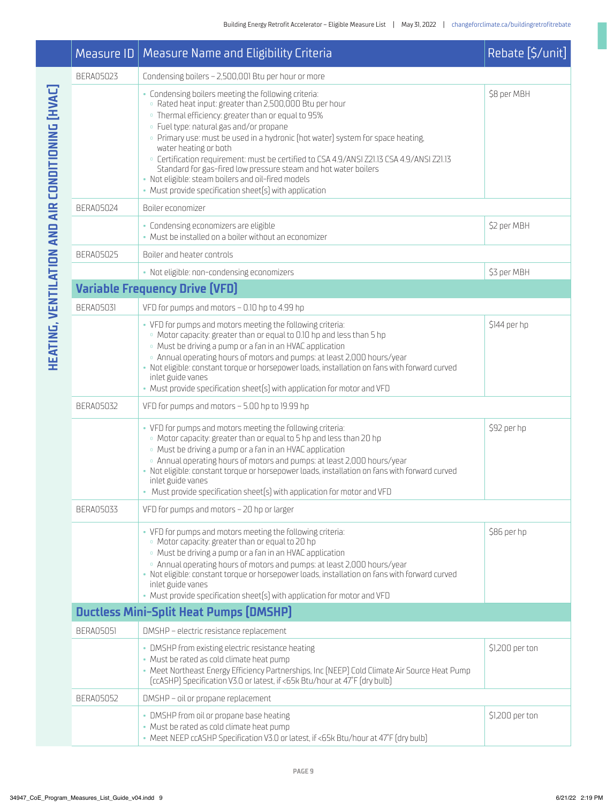| Measure ID       | Measure Name and Eligibility Criteria                                                                                                                                                                                                                                                                                                                                                                                                                                                                                                                                                                        | Rebate [\$/unit] |
|------------------|--------------------------------------------------------------------------------------------------------------------------------------------------------------------------------------------------------------------------------------------------------------------------------------------------------------------------------------------------------------------------------------------------------------------------------------------------------------------------------------------------------------------------------------------------------------------------------------------------------------|------------------|
| <b>BERA05023</b> | Condensing boilers - 2,500,001 Btu per hour or more                                                                                                                                                                                                                                                                                                                                                                                                                                                                                                                                                          |                  |
|                  | • Condensing boilers meeting the following criteria:<br>· Rated heat input: greater than 2,500,000 Btu per hour<br>· Thermal efficiency: greater than or equal to 95%<br>· Fuel type: natural gas and/or propane<br>· Primary use: must be used in a hydronic (hot water) system for space heating,<br>water heating or both<br>· Certification requirement: must be certified to CSA 4.9/ANSI Z21.13 CSA 4.9/ANSI Z21.13<br>Standard for gas-fired low pressure steam and hot water boilers<br>• Not eligible: steam boilers and oil-fired models<br>• Must provide specification sheet(s) with application | \$8 per MBH      |
| <b>BERA05024</b> | Boiler economizer                                                                                                                                                                                                                                                                                                                                                                                                                                                                                                                                                                                            |                  |
|                  | • Condensing economizers are eligible<br>• Must be installed on a boiler without an economizer                                                                                                                                                                                                                                                                                                                                                                                                                                                                                                               | \$2 per MBH      |
| <b>BERA05025</b> | Boiler and heater controls                                                                                                                                                                                                                                                                                                                                                                                                                                                                                                                                                                                   |                  |
|                  | • Not eligible: non-condensing economizers                                                                                                                                                                                                                                                                                                                                                                                                                                                                                                                                                                   | \$3 per MBH      |
|                  | <b>Variable Frequency Drive (VFD)</b>                                                                                                                                                                                                                                                                                                                                                                                                                                                                                                                                                                        |                  |
| BERAN5031        | VFD for pumps and motors - 0.10 hp to 4.99 hp                                                                                                                                                                                                                                                                                                                                                                                                                                                                                                                                                                |                  |
|                  | • VFD for pumps and motors meeting the following criteria:<br><sup>o</sup> Motor capacity: greater than or equal to 0.10 hp and less than 5 hp<br>. Must be driving a pump or a fan in an HVAC application<br>. Annual operating hours of motors and pumps: at least 2,000 hours/year<br>• Not eligible: constant torque or horsepower loads, installation on fans with forward curved<br>inlet guide vanes<br>• Must provide specification sheet(s) with application for motor and VFD                                                                                                                      | \$144 per hp     |
| BERA05032        | VFD for pumps and motors – 5.00 hp to 19.99 hp                                                                                                                                                                                                                                                                                                                                                                                                                                                                                                                                                               |                  |
|                  | • VFD for pumps and motors meeting the following criteria:<br>· Motor capacity: greater than or equal to 5 hp and less than 20 hp<br><sup>o</sup> Must be driving a pump or a fan in an HVAC application<br>. Annual operating hours of motors and pumps: at least 2,000 hours/year<br>· Not eligible: constant torque or horsepower loads, installation on fans with forward curved<br>inlet guide vanes<br>• Must provide specification sheet(s) with application for motor and VFD                                                                                                                        | \$92 per hp      |
| <b>BERA05033</b> | VFD for pumps and motors - 20 hp or larger                                                                                                                                                                                                                                                                                                                                                                                                                                                                                                                                                                   |                  |
|                  | • VFD for pumps and motors meeting the following criteria:<br>· Motor capacity: greater than or equal to 20 hp<br><sup>o</sup> Must be driving a pump or a fan in an HVAC application<br>. Annual operating hours of motors and pumps: at least 2,000 hours/year<br>• Not eligible: constant torque or horsepower loads, installation on fans with forward curved<br>inlet guide vanes<br>• Must provide specification sheet(s) with application for motor and VFD                                                                                                                                           | \$86 per hp      |
|                  | <b>Ductless Mini-Split Heat Pumps (DMSHP)</b>                                                                                                                                                                                                                                                                                                                                                                                                                                                                                                                                                                |                  |
| <b>BERA05051</b> | DMSHP - electric resistance replacement                                                                                                                                                                                                                                                                                                                                                                                                                                                                                                                                                                      |                  |
|                  | • DMSHP from existing electric resistance heating<br>• Must be rated as cold climate heat pump<br>• Meet Northeast Energy Efficiency Partnerships, Inc (NEEP) Cold Climate Air Source Heat Pump<br>(ccASHP) Specification V3.0 or latest, if <65k Btu/hour at 47°F (dry bulb)                                                                                                                                                                                                                                                                                                                                | \$1,200 per ton  |
| <b>BERA05052</b> | DMSHP - oil or propane replacement                                                                                                                                                                                                                                                                                                                                                                                                                                                                                                                                                                           |                  |
|                  | • DMSHP from oil or propane base heating<br>• Must be rated as cold climate heat pump<br>- Meet NEEP ccASHP Specification V3.0 or latest, if <65k Btu/hour at 47°F (dry bulb)                                                                                                                                                                                                                                                                                                                                                                                                                                | \$1,200 per ton  |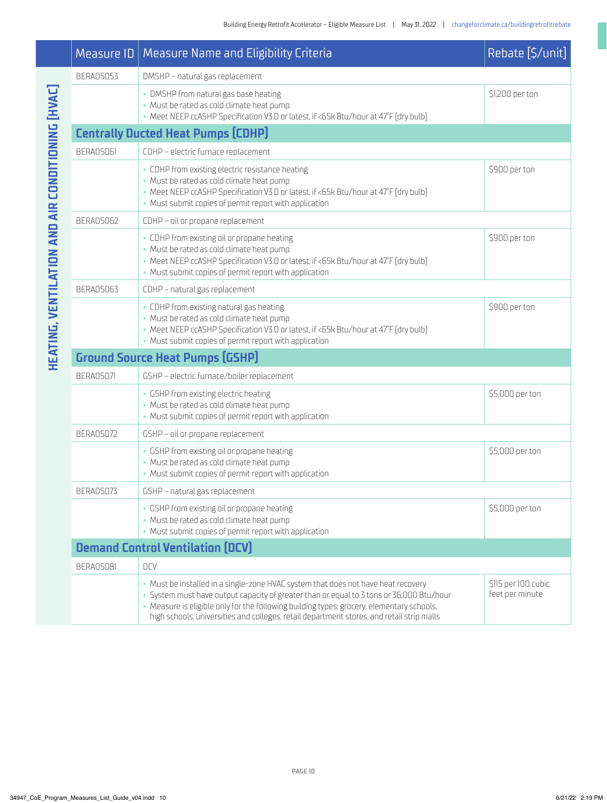| Measure ID $\mid$ | Measure Name and Eligibility Criteria                                                                                                                                                                                                                                                                                                                                   | Rebate [\$/unit]                       |
|-------------------|-------------------------------------------------------------------------------------------------------------------------------------------------------------------------------------------------------------------------------------------------------------------------------------------------------------------------------------------------------------------------|----------------------------------------|
| <b>BERA05053</b>  | DMSHP - natural gas replacement                                                                                                                                                                                                                                                                                                                                         |                                        |
|                   | • DMSHP from natural gas base heating<br>• Must be rated as cold climate heat pump<br>• Meet NEEP ccASHP Specification V3.0 or latest, if <65k Btu/hour at 47°F (dry bulb)                                                                                                                                                                                              | \$1,200 per ton                        |
|                   | <b>Centrally Ducted Heat Pumps (CDHP)</b>                                                                                                                                                                                                                                                                                                                               |                                        |
| BFRA05061         | CDHP - electric furnace replacement                                                                                                                                                                                                                                                                                                                                     |                                        |
|                   | • CDHP from existing electric resistance heating<br>• Must be rated as cold climate heat pump<br>• Meet NEEP ccASHP Specification V3.0 or latest, if <65k Btu/hour at 47°F (dry bulb)<br>• Must submit copies of permit report with application                                                                                                                         | \$900 per ton                          |
| <b>BERA05062</b>  | CDHP - oil or propane replacement                                                                                                                                                                                                                                                                                                                                       |                                        |
|                   | • CDHP from existing oil or propane heating<br>• Must be rated as cold climate heat pump<br>• Meet NEEP ccASHP Specification V3.0 or latest, if <65k Btu/hour at 47°F (dry bulb)<br>• Must submit copies of permit report with application                                                                                                                              | \$900 per ton                          |
| <b>BERA05063</b>  | CDHP - natural gas replacement                                                                                                                                                                                                                                                                                                                                          |                                        |
|                   | • CDHP from existing natural gas heating<br>• Must be rated as cold climate heat pump<br>• Meet NEEP ccASHP Specification V3.0 or latest, if <65k Btu/hour at 47°F (dry bulb)<br>• Must submit copies of permit report with application                                                                                                                                 | \$900 per ton                          |
|                   | <b>Ground Source Heat Pumps (GSHP)</b>                                                                                                                                                                                                                                                                                                                                  |                                        |
| <b>BERA05071</b>  | GSHP - electric furnace/boiler replacement                                                                                                                                                                                                                                                                                                                              |                                        |
|                   | · GSHP from existing electric heating<br>• Must be rated as cold climate heat pump<br>• Must submit copies of permit report with application                                                                                                                                                                                                                            | \$5,000 per ton                        |
| <b>BERA05072</b>  | GSHP – oil or propane replacement                                                                                                                                                                                                                                                                                                                                       |                                        |
|                   | · GSHP from existing oil or propane heating<br>• Must be rated as cold climate heat pump<br>• Must submit copies of permit report with application                                                                                                                                                                                                                      | \$5,000 per ton                        |
| <b>BERA05073</b>  | GSHP - natural gas replacement                                                                                                                                                                                                                                                                                                                                          |                                        |
|                   | • GSHP from existing oil or propane heating<br>• Must be rated as cold climate heat pump<br>• Must submit copies of permit report with application                                                                                                                                                                                                                      | \$5,000 per ton                        |
|                   | <b>Demand Control Ventilation (DCV)</b>                                                                                                                                                                                                                                                                                                                                 |                                        |
| <b>BERA05081</b>  | <b>DCV</b>                                                                                                                                                                                                                                                                                                                                                              |                                        |
|                   | • Must be installed in a single-zone HVAC system that does not have heat recovery<br>· System must have output capacity of greater than or equal to 3 tons or 36,000 Btu/hour<br>• Measure is eligible only for the following building types: grocery, elementary schools,<br>high schools, universities and colleges, retail department stores, and retail strip malls | \$115 per 100 cubic<br>feet per minute |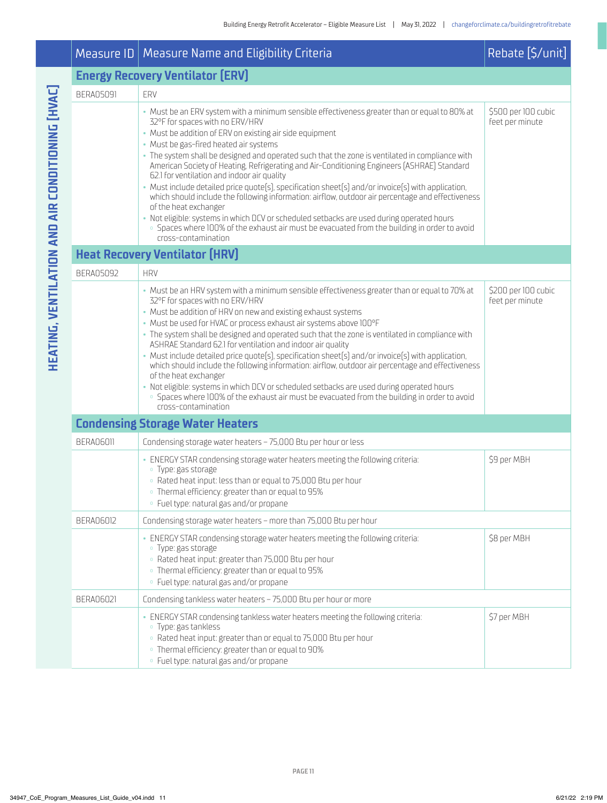| Measure $ D $    | Measure Name and Eligibility Criteria                                                                                                                                                                                                                                                                                                                                                                                                                                                                                                                                                                                                                                                                                                                                                                                                                                                                                                           | Rebate [\$/unit]                       |
|------------------|-------------------------------------------------------------------------------------------------------------------------------------------------------------------------------------------------------------------------------------------------------------------------------------------------------------------------------------------------------------------------------------------------------------------------------------------------------------------------------------------------------------------------------------------------------------------------------------------------------------------------------------------------------------------------------------------------------------------------------------------------------------------------------------------------------------------------------------------------------------------------------------------------------------------------------------------------|----------------------------------------|
|                  | <b>Energy Recovery Ventilator [ERV]</b>                                                                                                                                                                                                                                                                                                                                                                                                                                                                                                                                                                                                                                                                                                                                                                                                                                                                                                         |                                        |
| <b>BERA05091</b> | ERV                                                                                                                                                                                                                                                                                                                                                                                                                                                                                                                                                                                                                                                                                                                                                                                                                                                                                                                                             |                                        |
|                  | - Must be an ERV system with a minimum sensible effectiveness greater than or equal to 80% at<br>32°F for spaces with no ERV/HRV<br>• Must be addition of ERV on existing air side equipment<br>· Must be gas-fired heated air systems<br>. The system shall be designed and operated such that the zone is ventilated in compliance with<br>American Society of Heating, Refrigerating and Air-Conditioning Engineers (ASHRAE) Standard<br>62.1 for ventilation and indoor air quality<br>• Must include detailed price quote(s), specification sheet(s) and/or invoice(s) with application,<br>which should include the following information: airflow, outdoor air percentage and effectiveness<br>of the heat exchanger<br>• Not eligible: systems in which DCV or scheduled setbacks are used during operated hours<br>· Spaces where 100% of the exhaust air must be evacuated from the building in order to avoid<br>cross-contamination | \$500 per 100 cubic<br>feet per minute |
|                  | <b>Heat Recovery Ventilator [HRV]</b>                                                                                                                                                                                                                                                                                                                                                                                                                                                                                                                                                                                                                                                                                                                                                                                                                                                                                                           |                                        |
| <b>BERA05092</b> | <b>HRV</b>                                                                                                                                                                                                                                                                                                                                                                                                                                                                                                                                                                                                                                                                                                                                                                                                                                                                                                                                      |                                        |
|                  | - Must be an HRV system with a minimum sensible effectiveness greater than or equal to 70% at<br>32°F for spaces with no ERV/HRV<br>• Must be addition of HRV on new and existing exhaust systems<br>- Must be used for HVAC or process exhaust air systems above 100°F<br>. The system shall be designed and operated such that the zone is ventilated in compliance with<br>ASHRAE Standard 62.1 for ventilation and indoor air quality<br>• Must include detailed price quote(s), specification sheet(s) and/or invoice(s) with application,<br>which should include the following information: airflow, outdoor air percentage and effectiveness<br>of the heat exchanger<br>· Not eligible: systems in which DCV or scheduled setbacks are used during operated hours<br>· Spaces where 100% of the exhaust air must be evacuated from the building in order to avoid<br>cross-contamination                                               | \$200 per 100 cubic<br>feet per minute |
|                  | <b>Condensing Storage Water Heaters</b>                                                                                                                                                                                                                                                                                                                                                                                                                                                                                                                                                                                                                                                                                                                                                                                                                                                                                                         |                                        |
| <b>BERA06011</b> | Condensing storage water heaters - 75,000 Btu per hour or less                                                                                                                                                                                                                                                                                                                                                                                                                                                                                                                                                                                                                                                                                                                                                                                                                                                                                  |                                        |
|                  | · ENERGY STAR condensing storage water heaters meeting the following criteria:<br>· Type: gas storage<br>• Rated heat input: less than or equal to 75,000 Btu per hour<br><sup>o</sup> Thermal efficiency: greater than or equal to 95%<br>· Fuel type: natural gas and/or propane                                                                                                                                                                                                                                                                                                                                                                                                                                                                                                                                                                                                                                                              | \$9 per MBH                            |
| <b>BERA06012</b> | Condensing storage water heaters - more than 75,000 Btu per hour                                                                                                                                                                                                                                                                                                                                                                                                                                                                                                                                                                                                                                                                                                                                                                                                                                                                                |                                        |
|                  | · ENERGY STAR condensing storage water heaters meeting the following criteria:<br>· Type: gas storage<br><sup>o</sup> Rated heat input: greater than 75,000 Btu per hour<br>· Thermal efficiency: greater than or equal to 95%<br>· Fuel type: natural gas and/or propane                                                                                                                                                                                                                                                                                                                                                                                                                                                                                                                                                                                                                                                                       | \$8 per MBH                            |
| <b>BERA06021</b> | Condensing tankless water heaters - 75,000 Btu per hour or more                                                                                                                                                                                                                                                                                                                                                                                                                                                                                                                                                                                                                                                                                                                                                                                                                                                                                 |                                        |
|                  | . ENERGY STAR condensing tankless water heaters meeting the following criteria:<br>· Type: gas tankless<br>· Rated heat input: greater than or equal to 75,000 Btu per hour<br>· Thermal efficiency: greater than or equal to 90%<br>· Fuel type: natural gas and/or propane                                                                                                                                                                                                                                                                                                                                                                                                                                                                                                                                                                                                                                                                    | \$7 per MBH                            |

**HEATING, VENTILATION AND AIR CONDITIONING [HVAC]**

HEATING, VENTILATION AND AIR CONDITIONING [HVAC]

**PAGE 11**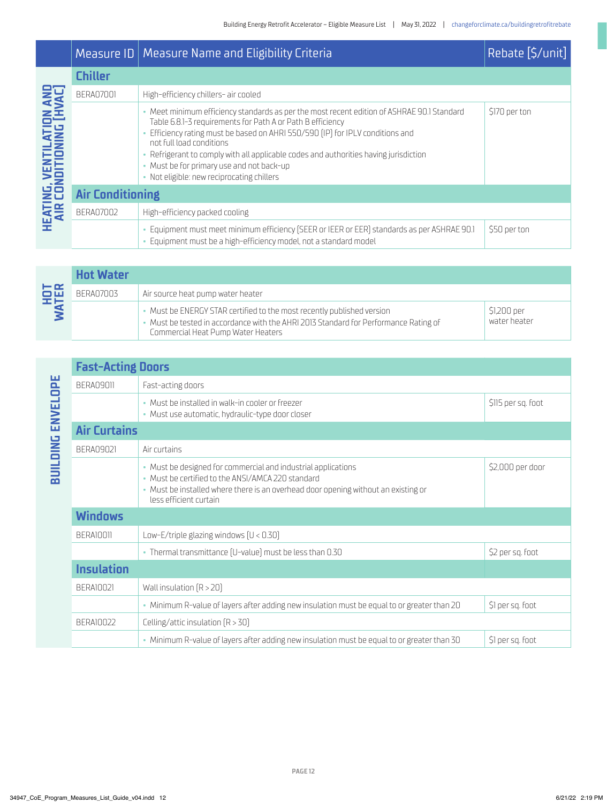|                                                     |                         | Measure ID   Measure Name and Eligibility Criteria                                                                                                                                                                                                                                                                                                                                                                                                       | Rebate [\$/unit] |
|-----------------------------------------------------|-------------------------|----------------------------------------------------------------------------------------------------------------------------------------------------------------------------------------------------------------------------------------------------------------------------------------------------------------------------------------------------------------------------------------------------------------------------------------------------------|------------------|
|                                                     | <b>Chiller</b>          |                                                                                                                                                                                                                                                                                                                                                                                                                                                          |                  |
|                                                     | <b>BERA07001</b>        | High-efficiency chillers- air cooled                                                                                                                                                                                                                                                                                                                                                                                                                     |                  |
| HEATING, VENTILATION AND<br>AIR CONDITIONING [HVAC] |                         | • Meet minimum efficiency standards as per the most recent edition of ASHRAE 90.1 Standard<br>Table 6.8.1-3 requirements for Path A or Path B efficiency<br>Efficiency rating must be based on AHRI 550/590 (IP) for IPLV conditions and<br>not full load conditions<br>• Refrigerant to comply with all applicable codes and authorities having jurisdiction<br>• Must be for primary use and not back-up<br>• Not eligible: new reciprocating chillers | \$170 per ton    |
|                                                     | <b>Air Conditioning</b> |                                                                                                                                                                                                                                                                                                                                                                                                                                                          |                  |
|                                                     | <b>BERA07002</b>        | High-efficiency packed cooling                                                                                                                                                                                                                                                                                                                                                                                                                           |                  |
|                                                     |                         | Equipment must meet minimum efficiency (SEER or IEER or EER) standards as per ASHRAE 90.1<br>Equipment must be a high-efficiency model, not a standard model                                                                                                                                                                                                                                                                                             | \$50 per ton     |

| エヒ | <b>Hot Water</b> |                                                                                                                                                                                                      |                             |
|----|------------------|------------------------------------------------------------------------------------------------------------------------------------------------------------------------------------------------------|-----------------------------|
|    | BFRAN7003        | Air source heat pump water heater                                                                                                                                                                    |                             |
|    |                  | • Must be ENERGY STAR certified to the most recently published version<br>· Must be tested in accordance with the AHRI 2013 Standard for Performance Rating of<br>Commercial Heat Pump Water Heaters | \$1,200 per<br>water heater |

|                     | <b>Fast-Acting Doors</b>                                                                                                                                                                                                           |                    |
|---------------------|------------------------------------------------------------------------------------------------------------------------------------------------------------------------------------------------------------------------------------|--------------------|
| BFRA09011           | Fast-acting doors                                                                                                                                                                                                                  |                    |
|                     | • Must be installed in walk-in confer or freezer<br>• Must use automatic, hydraulic-type door closer                                                                                                                               | \$115 per sq. foot |
| <b>Air Curtains</b> |                                                                                                                                                                                                                                    |                    |
| BFRA09021           |                                                                                                                                                                                                                                    |                    |
|                     | • Must be designed for commercial and industrial applications<br>• Must be certified to the ANSI/AMCA 220 standard<br>• Must be installed where there is an overhead door opening without an existing or<br>less efficient curtain | \$2,000 per door   |
| <b>Windows</b>      |                                                                                                                                                                                                                                    |                    |
| BERAIO011           | Low-E/triple glazing windows $[U < 0.30]$                                                                                                                                                                                          |                    |
|                     | • Thermal transmittance (U-value) must be less than 0.30                                                                                                                                                                           | \$2 per sq. foot   |
| <b>Insulation</b>   |                                                                                                                                                                                                                                    |                    |
| <b>BERA10021</b>    | Wall insulation $[R > 20]$                                                                                                                                                                                                         |                    |
|                     | • Minimum R-value of layers after adding new insulation must be equal to or greater than 20                                                                                                                                        | \$1 per sq. foot   |
| BFRAID022           | Celling/attic insulation $[R > 30]$                                                                                                                                                                                                |                    |
|                     | - Minimum R-value of layers after adding new insulation must be equal to or greater than 30                                                                                                                                        | \$1 per sq. foot   |

**BUILDING ENVELOPE BUILDING ENVELOPE**